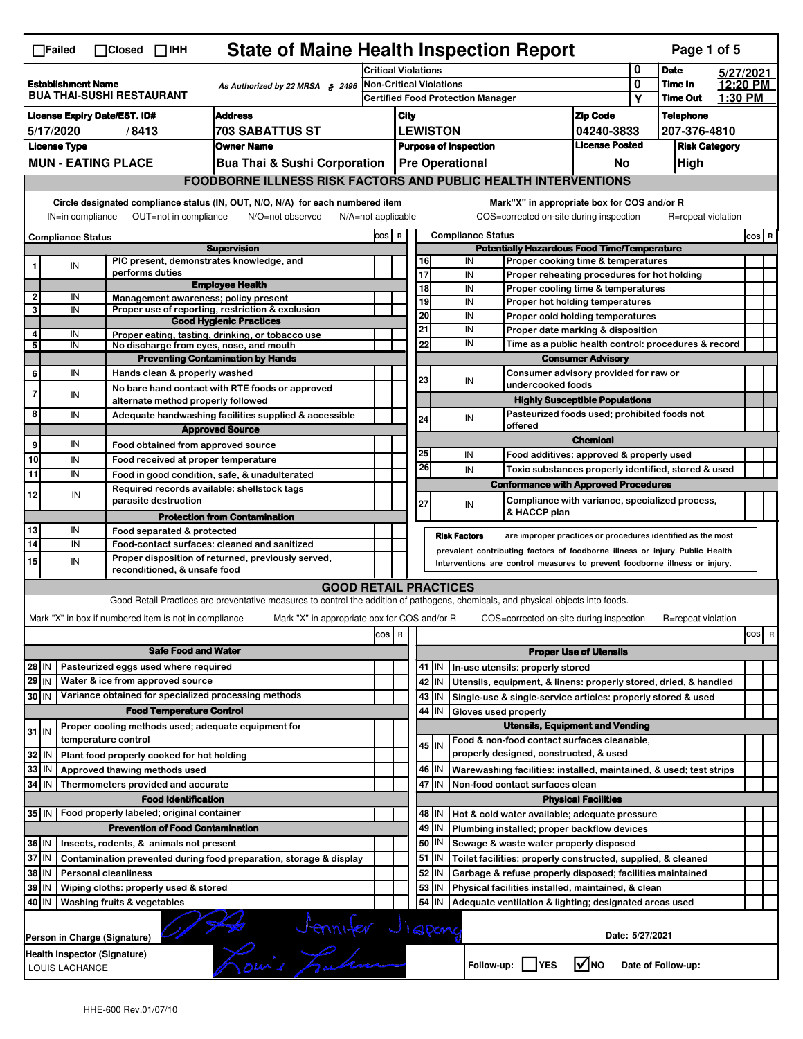|                | <b>State of Maine Health Inspection Report</b><br>Page 1 of 5<br>$\Box$ Failed<br>$\Box$ Closed $\Box$ IHH                                  |                                                       |                                         |                                                                                                                                                                   |                                                                            |      |          |                        |                                                                                               |                                       |   |                                      |         |           |
|----------------|---------------------------------------------------------------------------------------------------------------------------------------------|-------------------------------------------------------|-----------------------------------------|-------------------------------------------------------------------------------------------------------------------------------------------------------------------|----------------------------------------------------------------------------|------|----------|------------------------|-----------------------------------------------------------------------------------------------|---------------------------------------|---|--------------------------------------|---------|-----------|
|                |                                                                                                                                             |                                                       |                                         |                                                                                                                                                                   | <b>Critical Violations</b>                                                 |      |          |                        |                                                                                               |                                       | 0 | <b>Date</b>                          |         | 5/27/2021 |
|                | <b>Establishment Name</b>                                                                                                                   | <b>BUA THAI-SUSHI RESTAURANT</b>                      |                                         | As Authorized by 22 MRSA $$2496$                                                                                                                                  | <b>Non-Critical Violations</b><br><b>Certified Food Protection Manager</b> |      |          |                        |                                                                                               |                                       | 0 | Time In<br><b>Time Out</b>           | 1:30 PM | 12:20 PM  |
|                |                                                                                                                                             |                                                       |                                         |                                                                                                                                                                   |                                                                            |      |          |                        |                                                                                               |                                       | Υ |                                      |         |           |
|                |                                                                                                                                             | <b>License Expiry Date/EST. ID#</b>                   |                                         | <b>Address</b><br><b>703 SABATTUS ST</b>                                                                                                                          |                                                                            | City |          | <b>LEWISTON</b>        |                                                                                               | <b>Zip Code</b>                       |   | <b>Telephone</b>                     |         |           |
|                | 5/17/2020<br><b>License Type</b>                                                                                                            | /8413                                                 |                                         | <b>Owner Name</b>                                                                                                                                                 |                                                                            |      |          |                        | <b>Purpose of Inspection</b>                                                                  | 04240-3833<br><b>License Posted</b>   |   | 207-376-4810<br><b>Risk Category</b> |         |           |
|                |                                                                                                                                             | <b>MUN - EATING PLACE</b>                             |                                         | <b>Bua Thai &amp; Sushi Corporation</b>                                                                                                                           |                                                                            |      |          |                        |                                                                                               |                                       |   |                                      |         |           |
|                |                                                                                                                                             |                                                       |                                         |                                                                                                                                                                   |                                                                            |      |          | <b>Pre Operational</b> |                                                                                               | No                                    |   | High                                 |         |           |
|                |                                                                                                                                             |                                                       |                                         | <b>FOODBORNE ILLNESS RISK FACTORS AND PUBLIC HEALTH INTERVENTIONS</b>                                                                                             |                                                                            |      |          |                        |                                                                                               |                                       |   |                                      |         |           |
|                | IN=in compliance                                                                                                                            |                                                       | OUT=not in compliance                   | Circle designated compliance status (IN, OUT, N/O, N/A) for each numbered item<br>N/O=not observed                                                                | N/A=not applicable                                                         |      |          |                        | Mark"X" in appropriate box for COS and/or R<br>COS=corrected on-site during inspection        |                                       |   | R=repeat violation                   |         |           |
|                | <b>Compliance Status</b>                                                                                                                    |                                                       |                                         |                                                                                                                                                                   | COS R                                                                      |      |          |                        | <b>Compliance Status</b>                                                                      |                                       |   |                                      |         | COS R     |
|                |                                                                                                                                             |                                                       |                                         | <b>Supervision</b>                                                                                                                                                |                                                                            |      |          |                        | <b>Potentially Hazardous Food Time/Temperature</b>                                            |                                       |   |                                      |         |           |
| 1              | IN                                                                                                                                          | performs duties                                       |                                         | PIC present, demonstrates knowledge, and                                                                                                                          |                                                                            |      | 16<br>17 |                        | IN<br>Proper cooking time & temperatures<br>IN<br>Proper reheating procedures for hot holding |                                       |   |                                      |         |           |
|                |                                                                                                                                             |                                                       |                                         | <b>Employee Health</b>                                                                                                                                            |                                                                            |      | 18       |                        | IN<br>Proper cooling time & temperatures                                                      |                                       |   |                                      |         |           |
| $\overline{2}$ | IN                                                                                                                                          |                                                       |                                         | Management awareness; policy present                                                                                                                              |                                                                            |      | 19       |                        | IN<br>Proper hot holding temperatures                                                         |                                       |   |                                      |         |           |
| 3              | IN                                                                                                                                          |                                                       |                                         | Proper use of reporting, restriction & exclusion<br><b>Good Hygienic Practices</b>                                                                                |                                                                            |      | 20       |                        | IN<br>Proper cold holding temperatures                                                        |                                       |   |                                      |         |           |
| 4              | IN                                                                                                                                          |                                                       |                                         | Proper eating, tasting, drinking, or tobacco use                                                                                                                  |                                                                            |      | 21       |                        | IN<br>Proper date marking & disposition                                                       |                                       |   |                                      |         |           |
| 5              | IN                                                                                                                                          |                                                       |                                         | No discharge from eyes, nose, and mouth                                                                                                                           |                                                                            |      | 22       |                        | IN<br>Time as a public health control: procedures & record                                    |                                       |   |                                      |         |           |
|                |                                                                                                                                             |                                                       |                                         | <b>Preventing Contamination by Hands</b>                                                                                                                          |                                                                            |      |          |                        |                                                                                               | <b>Consumer Advisory</b>              |   |                                      |         |           |
| 6              | IN                                                                                                                                          |                                                       | Hands clean & properly washed           |                                                                                                                                                                   |                                                                            |      | 23       |                        | Consumer advisory provided for raw or<br>IN<br>undercooked foods                              |                                       |   |                                      |         |           |
| $\overline{7}$ | IN                                                                                                                                          |                                                       |                                         | No bare hand contact with RTE foods or approved                                                                                                                   |                                                                            |      |          |                        |                                                                                               |                                       |   |                                      |         |           |
| 8              |                                                                                                                                             |                                                       | alternate method properly followed      |                                                                                                                                                                   |                                                                            |      |          |                        | Pasteurized foods used; prohibited foods not                                                  | <b>Highly Susceptible Populations</b> |   |                                      |         |           |
|                | IN                                                                                                                                          |                                                       |                                         | Adequate handwashing facilities supplied & accessible<br><b>Approved Source</b>                                                                                   |                                                                            |      | 24       |                        | IN<br>offered                                                                                 |                                       |   |                                      |         |           |
| 9              | IN                                                                                                                                          |                                                       |                                         |                                                                                                                                                                   |                                                                            |      |          |                        |                                                                                               | <b>Chemical</b>                       |   |                                      |         |           |
| 10             | IN                                                                                                                                          |                                                       |                                         | Food obtained from approved source<br>Food received at proper temperature                                                                                         |                                                                            |      | 25       |                        | IN<br>Food additives: approved & properly used                                                |                                       |   |                                      |         |           |
| 11             | IN                                                                                                                                          |                                                       |                                         | Food in good condition, safe, & unadulterated                                                                                                                     |                                                                            |      | 26       |                        | IN<br>Toxic substances properly identified, stored & used                                     |                                       |   |                                      |         |           |
|                |                                                                                                                                             |                                                       |                                         | Required records available: shellstock tags                                                                                                                       |                                                                            |      |          |                        | <b>Conformance with Approved Procedures</b>                                                   |                                       |   |                                      |         |           |
| 12             | IN                                                                                                                                          |                                                       | parasite destruction                    |                                                                                                                                                                   |                                                                            |      | 27       |                        | Compliance with variance, specialized process,<br>IN                                          |                                       |   |                                      |         |           |
|                |                                                                                                                                             |                                                       |                                         | <b>Protection from Contamination</b>                                                                                                                              |                                                                            |      |          |                        | & HACCP plan                                                                                  |                                       |   |                                      |         |           |
| 13             | IN                                                                                                                                          |                                                       | Food separated & protected              |                                                                                                                                                                   |                                                                            |      |          |                        | <b>Risk Factors</b><br>are improper practices or procedures identified as the most            |                                       |   |                                      |         |           |
| 14             | IN                                                                                                                                          |                                                       |                                         | Food-contact surfaces: cleaned and sanitized                                                                                                                      |                                                                            |      |          |                        | prevalent contributing factors of foodborne illness or injury. Public Health                  |                                       |   |                                      |         |           |
| 15             | IN                                                                                                                                          |                                                       | reconditioned, & unsafe food            | Proper disposition of returned, previously served,                                                                                                                |                                                                            |      |          |                        | Interventions are control measures to prevent foodborne illness or injury.                    |                                       |   |                                      |         |           |
|                |                                                                                                                                             |                                                       |                                         |                                                                                                                                                                   |                                                                            |      |          |                        |                                                                                               |                                       |   |                                      |         |           |
|                |                                                                                                                                             |                                                       |                                         | <b>GOOD RETAIL PRACTICES</b><br>Good Retail Practices are preventative measures to control the addition of pathogens, chemicals, and physical objects into foods. |                                                                            |      |          |                        |                                                                                               |                                       |   |                                      |         |           |
|                |                                                                                                                                             |                                                       |                                         |                                                                                                                                                                   |                                                                            |      |          |                        |                                                                                               |                                       |   |                                      |         |           |
|                |                                                                                                                                             | Mark "X" in box if numbered item is not in compliance |                                         | Mark "X" in appropriate box for COS and/or R                                                                                                                      |                                                                            |      |          |                        | COS=corrected on-site during inspection                                                       |                                       |   | R=repeat violation                   |         |           |
|                |                                                                                                                                             |                                                       |                                         |                                                                                                                                                                   | cos                                                                        | R    |          |                        |                                                                                               |                                       |   |                                      |         | cos<br>R  |
|                |                                                                                                                                             |                                                       | <b>Safe Food and Water</b>              |                                                                                                                                                                   |                                                                            |      |          |                        |                                                                                               | <b>Proper Use of Utensils</b>         |   |                                      |         |           |
| 28 IN          |                                                                                                                                             | Pasteurized eggs used where required                  |                                         |                                                                                                                                                                   |                                                                            |      |          | 41 J IN                | In-use utensils: properly stored                                                              |                                       |   |                                      |         |           |
| $29$ IN        |                                                                                                                                             | Water & ice from approved source                      |                                         |                                                                                                                                                                   |                                                                            |      | 42       | IN                     | Utensils, equipment, & linens: properly stored, dried, & handled                              |                                       |   |                                      |         |           |
| 30 IN          |                                                                                                                                             |                                                       |                                         | Variance obtained for specialized processing methods                                                                                                              |                                                                            |      |          | 43   IN                | Single-use & single-service articles: properly stored & used                                  |                                       |   |                                      |         |           |
|                |                                                                                                                                             |                                                       | <b>Food Temperature Control</b>         |                                                                                                                                                                   |                                                                            |      |          | 44 IN                  | Gloves used properly                                                                          |                                       |   |                                      |         |           |
| $31$ IN        |                                                                                                                                             | temperature control                                   |                                         | Proper cooling methods used; adequate equipment for                                                                                                               |                                                                            |      |          |                        | <b>Utensils, Equipment and Vending</b><br>Food & non-food contact surfaces cleanable,         |                                       |   |                                      |         |           |
| 32             | l IN                                                                                                                                        | Plant food properly cooked for hot holding            |                                         |                                                                                                                                                                   |                                                                            |      |          | $45$ IN                | properly designed, constructed, & used                                                        |                                       |   |                                      |         |           |
| 33             | l IN                                                                                                                                        | Approved thawing methods used                         |                                         |                                                                                                                                                                   |                                                                            |      |          | 46 IN                  | Warewashing facilities: installed, maintained, & used; test strips                            |                                       |   |                                      |         |           |
| 34             | IN                                                                                                                                          | Thermometers provided and accurate                    |                                         |                                                                                                                                                                   |                                                                            |      | 47       | IN                     | Non-food contact surfaces clean                                                               |                                       |   |                                      |         |           |
|                |                                                                                                                                             |                                                       | <b>Food Identification</b>              |                                                                                                                                                                   |                                                                            |      |          |                        |                                                                                               | <b>Physical Facilities</b>            |   |                                      |         |           |
|                |                                                                                                                                             | 35 IN   Food properly labeled; original container     |                                         |                                                                                                                                                                   |                                                                            |      |          | 48   IN                | Hot & cold water available; adequate pressure                                                 |                                       |   |                                      |         |           |
|                |                                                                                                                                             |                                                       | <b>Prevention of Food Contamination</b> |                                                                                                                                                                   |                                                                            |      |          | 49 IN                  | Plumbing installed; proper backflow devices                                                   |                                       |   |                                      |         |           |
| 36 IN          |                                                                                                                                             | Insects, rodents, & animals not present               |                                         |                                                                                                                                                                   |                                                                            |      | 50       | IN                     | Sewage & waste water properly disposed                                                        |                                       |   |                                      |         |           |
| 37 IN          |                                                                                                                                             |                                                       |                                         | Contamination prevented during food preparation, storage & display                                                                                                |                                                                            |      |          | $51$ $\vert$ IN        | Toilet facilities: properly constructed, supplied, & cleaned                                  |                                       |   |                                      |         |           |
| 38 IN          |                                                                                                                                             | <b>Personal cleanliness</b>                           |                                         |                                                                                                                                                                   |                                                                            |      |          | $52$ M                 | Garbage & refuse properly disposed; facilities maintained                                     |                                       |   |                                      |         |           |
| 39             | ΙM                                                                                                                                          | Wiping cloths: properly used & stored                 |                                         |                                                                                                                                                                   |                                                                            |      | 53       | IN                     | Physical facilities installed, maintained, & clean                                            |                                       |   |                                      |         |           |
| 40 IN          |                                                                                                                                             | Washing fruits & vegetables                           |                                         |                                                                                                                                                                   |                                                                            |      | 54       | IN                     | Adequate ventilation & lighting; designated areas used                                        |                                       |   |                                      |         |           |
|                | Date: 5/27/2021<br>Person in Charge (Signature)                                                                                             |                                                       |                                         |                                                                                                                                                                   |                                                                            |      |          |                        |                                                                                               |                                       |   |                                      |         |           |
|                | Lonnifer Jispany<br>Romis Fudera<br>Health Inspector (Signature)<br>Follow-up: YES<br>$\sqrt{ }$ NO<br>Date of Follow-up:<br>LOUIS LACHANCE |                                                       |                                         |                                                                                                                                                                   |                                                                            |      |          |                        |                                                                                               |                                       |   |                                      |         |           |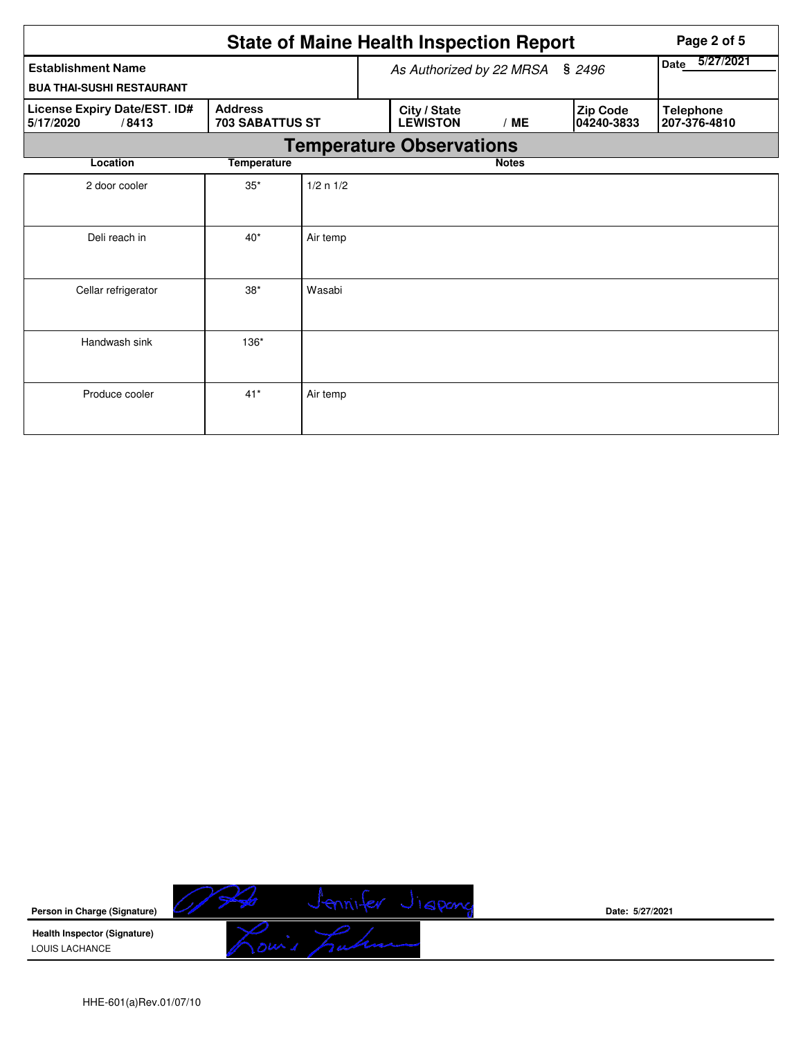|                                                    |                                          |           | <b>State of Maine Health Inspection Report</b> | Page 2 of 5              |  |                        |                                  |  |  |
|----------------------------------------------------|------------------------------------------|-----------|------------------------------------------------|--------------------------|--|------------------------|----------------------------------|--|--|
| <b>Establishment Name</b>                          |                                          |           |                                                | As Authorized by 22 MRSA |  | \$2496                 | 5/27/2021<br>Date                |  |  |
| <b>BUA THAI-SUSHI RESTAURANT</b>                   |                                          |           |                                                |                          |  |                        |                                  |  |  |
| License Expiry Date/EST. ID#<br>5/17/2020<br>/8413 | <b>Address</b><br><b>703 SABATTUS ST</b> |           | City / State<br><b>LEWISTON</b>                | /ME                      |  | Zip Code<br>04240-3833 | <b>Telephone</b><br>207-376-4810 |  |  |
|                                                    |                                          |           | <b>Temperature Observations</b>                |                          |  |                        |                                  |  |  |
| Location                                           | <b>Temperature</b>                       |           |                                                | <b>Notes</b>             |  |                        |                                  |  |  |
| 2 door cooler                                      | $35*$                                    | 1/2 n 1/2 |                                                |                          |  |                        |                                  |  |  |
| Deli reach in                                      | $40*$                                    | Air temp  |                                                |                          |  |                        |                                  |  |  |
| Cellar refrigerator                                | $38*$                                    | Wasabi    |                                                |                          |  |                        |                                  |  |  |
| Handwash sink                                      | 136*                                     |           |                                                |                          |  |                        |                                  |  |  |
| Produce cooler                                     | $41*$                                    | Air temp  |                                                |                          |  |                        |                                  |  |  |



**Date: 5/27/2021**

HHE-601(a)Rev.01/07/10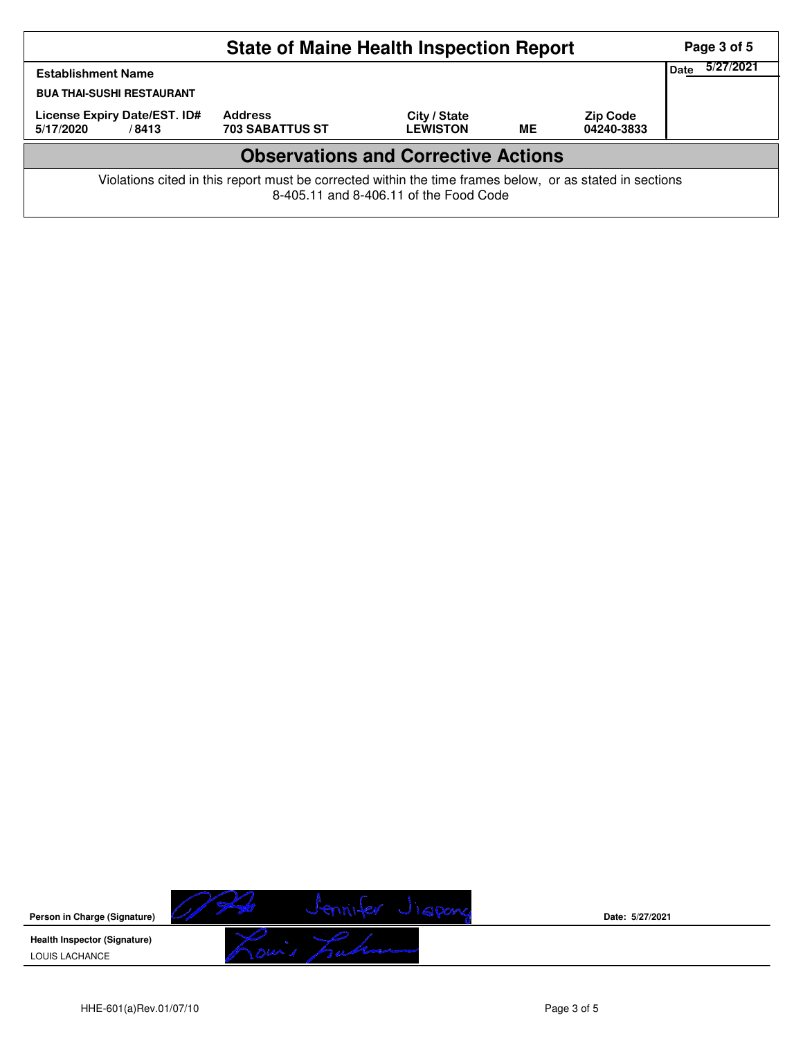| <b>State of Maine Health Inspection Report</b>                        |                                                                                                          |                                        |           |                               |  |  |  |  |  |  |
|-----------------------------------------------------------------------|----------------------------------------------------------------------------------------------------------|----------------------------------------|-----------|-------------------------------|--|--|--|--|--|--|
| Date<br><b>Establishment Name</b><br><b>BUA THAI-SUSHI RESTAURANT</b> |                                                                                                          |                                        |           |                               |  |  |  |  |  |  |
| License Expiry Date/EST. ID#<br>5/17/2020<br>/8413                    | <b>Address</b><br><b>703 SABATTUS ST</b>                                                                 | City / State<br><b>LEWISTON</b>        | <b>ME</b> | <b>Zip Code</b><br>04240-3833 |  |  |  |  |  |  |
| <b>Observations and Corrective Actions</b>                            |                                                                                                          |                                        |           |                               |  |  |  |  |  |  |
|                                                                       | Violations cited in this report must be corrected within the time frames below, or as stated in sections | 8-405.11 and 8-406.11 of the Food Code |           |                               |  |  |  |  |  |  |

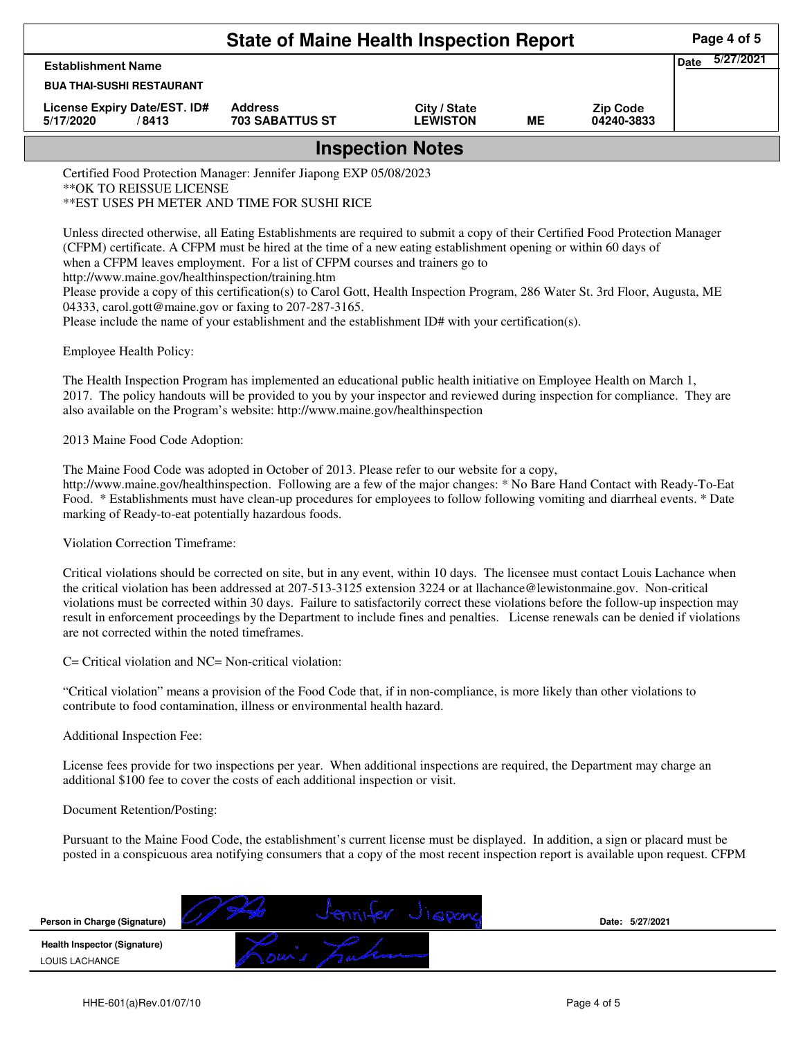| <b>State of Maine Health Inspection Report</b>                                           |                                                                                                                                                                                                                                                                                                                                                          |                                                                              |           |                               |                          |  |  |
|------------------------------------------------------------------------------------------|----------------------------------------------------------------------------------------------------------------------------------------------------------------------------------------------------------------------------------------------------------------------------------------------------------------------------------------------------------|------------------------------------------------------------------------------|-----------|-------------------------------|--------------------------|--|--|
| <b>Establishment Name</b>                                                                |                                                                                                                                                                                                                                                                                                                                                          |                                                                              |           |                               | 5/27/2021<br><b>Date</b> |  |  |
| <b>BUA THAI-SUSHI RESTAURANT</b>                                                         |                                                                                                                                                                                                                                                                                                                                                          |                                                                              |           |                               |                          |  |  |
| License Expiry Date/EST. ID#<br>5/17/2020<br>/8413                                       | <b>Address</b><br>703 SABATTUS ST                                                                                                                                                                                                                                                                                                                        | City / State<br><b>LEWISTON</b>                                              | <b>ME</b> | <b>Zip Code</b><br>04240-3833 |                          |  |  |
|                                                                                          |                                                                                                                                                                                                                                                                                                                                                          | <b>Inspection Notes</b>                                                      |           |                               |                          |  |  |
| ** OK TO REISSUE LICENSE                                                                 | Certified Food Protection Manager: Jennifer Jiapong EXP 05/08/2023<br>** EST USES PH METER AND TIME FOR SUSHI RICE                                                                                                                                                                                                                                       |                                                                              |           |                               |                          |  |  |
| http://www.maine.gov/healthinspection/training.htm                                       |                                                                                                                                                                                                                                                                                                                                                          | when a CFPM leaves employment. For a list of CFPM courses and trainers go to |           |                               |                          |  |  |
| 04333, carol.gott@maine.gov or faxing to 207-287-3165.<br><b>Employee Health Policy:</b> | Please provide a copy of this certification(s) to Carol Gott, Health Inspection Program, 286 Water St. 3rd Floor, Augusta, ME<br>Please include the name of your establishment and the establishment ID# with your certification(s).                                                                                                                     |                                                                              |           |                               |                          |  |  |
|                                                                                          | The Health Inspection Program has implemented an educational public health initiative on Employee Health on March 1,<br>2017. The policy handouts will be provided to you by your inspector and reviewed during inspection for compliance. They are<br>also available on the Program's website: http://www.maine.gov/healthinspection                    |                                                                              |           |                               |                          |  |  |
| 2013 Maine Food Code Adoption:                                                           |                                                                                                                                                                                                                                                                                                                                                          |                                                                              |           |                               |                          |  |  |
| marking of Ready-to-eat potentially hazardous foods.                                     | The Maine Food Code was adopted in October of 2013. Please refer to our website for a copy,<br>http://www.maine.gov/healthinspection. Following are a few of the major changes: * No Bare Hand Contact with Ready-To-Eat<br>Food. * Establishments must have clean-up procedures for employees to follow following vomiting and diarrheal events. * Date |                                                                              |           |                               |                          |  |  |

C= Critical violation and NC= Non-critical violation:

are not corrected within the noted timeframes.

"Critical violation" means a provision of the Food Code that, if in non-compliance, is more likely than other violations to contribute to food contamination, illness or environmental health hazard.

result in enforcement proceedings by the Department to include fines and penalties. License renewals can be denied if violations

Additional Inspection Fee:

License fees provide for two inspections per year. When additional inspections are required, the Department may charge an additional \$100 fee to cover the costs of each additional inspection or visit.

## Document Retention/Posting:

Pursuant to the Maine Food Code, the establishment's current license must be displayed. In addition, a sign or placard must be posted in a conspicuous area notifying consumers that a copy of the most recent inspection report is available upon request. CFPM